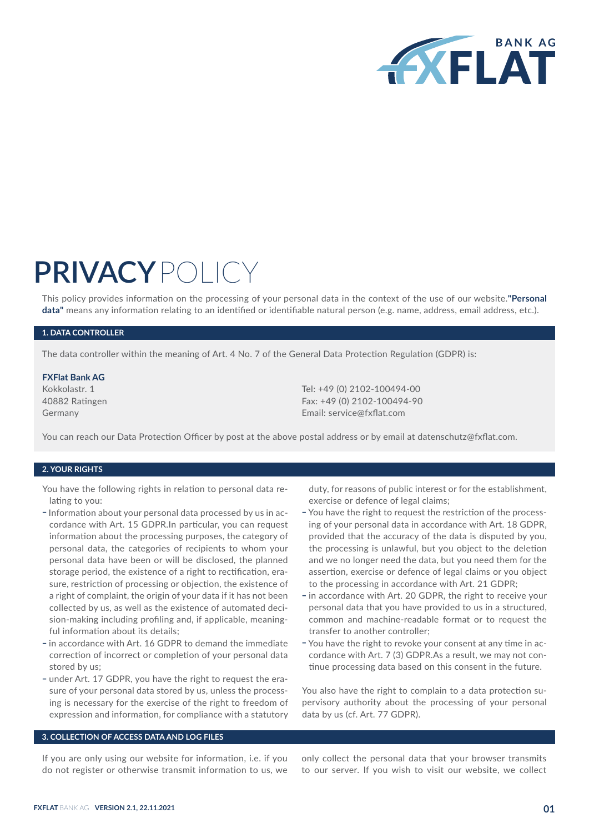

# **PRIVACY**POLICY

This policy provides information on the processing of your personal data in the context of the use of our website.**"Personal data"** means any information relating to an identified or identifiable natural person (e.g. name, address, email address, etc.).

# **1. DATA CONTROLLER**

The data controller within the meaning of Art. 4 No. 7 of the General Data Protection Regulation (GDPR) is:

#### **FXFlat Bank AG**

Kokkolastr. 1 40882 Ratingen Germany

Tel: +49 (0) 2102-100494-00 Fax: +49 (0) 2102-100494-90 Email: service@fxflat.com

You can reach our Data Protection Officer by post at the above postal address or by email at datenschutz@fxflat.com.

#### **2. YOUR RIGHTS**

You have the following rights in relation to personal data relating to you:

- Information about your personal data processed by us in accordance with Art. 15 GDPR.In particular, you can request information about the processing purposes, the category of personal data, the categories of recipients to whom your personal data have been or will be disclosed, the planned storage period, the existence of a right to rectification, erasure, restriction of processing or objection, the existence of a right of complaint, the origin of your data if it has not been collected by us, as well as the existence of automated decision-making including profiling and, if applicable, meaningful information about its details;
- in accordance with Art. 16 GDPR to demand the immediate correction of incorrect or completion of your personal data stored by us;
- under Art. 17 GDPR, you have the right to request the erasure of your personal data stored by us, unless the processing is necessary for the exercise of the right to freedom of expression and information, for compliance with a statutory

duty, for reasons of public interest or for the establishment, exercise or defence of legal claims;

- You have the right to request the restriction of the processing of your personal data in accordance with Art. 18 GDPR, provided that the accuracy of the data is disputed by you, the processing is unlawful, but you object to the deletion and we no longer need the data, but you need them for the assertion, exercise or defence of legal claims or you object to the processing in accordance with Art. 21 GDPR;
- in accordance with Art. 20 GDPR, the right to receive your personal data that you have provided to us in a structured, common and machine-readable format or to request the transfer to another controller;
- You have the right to revoke your consent at any time in accordance with Art. 7 (3) GDPR.As a result, we may not continue processing data based on this consent in the future.

You also have the right to complain to a data protection supervisory authority about the processing of your personal data by us (cf. Art. 77 GDPR).

# **3. COLLECTION OF ACCESS DATA AND LOG FILES**

If you are only using our website for information, i.e. if you do not register or otherwise transmit information to us, we only collect the personal data that your browser transmits to our server. If you wish to visit our website, we collect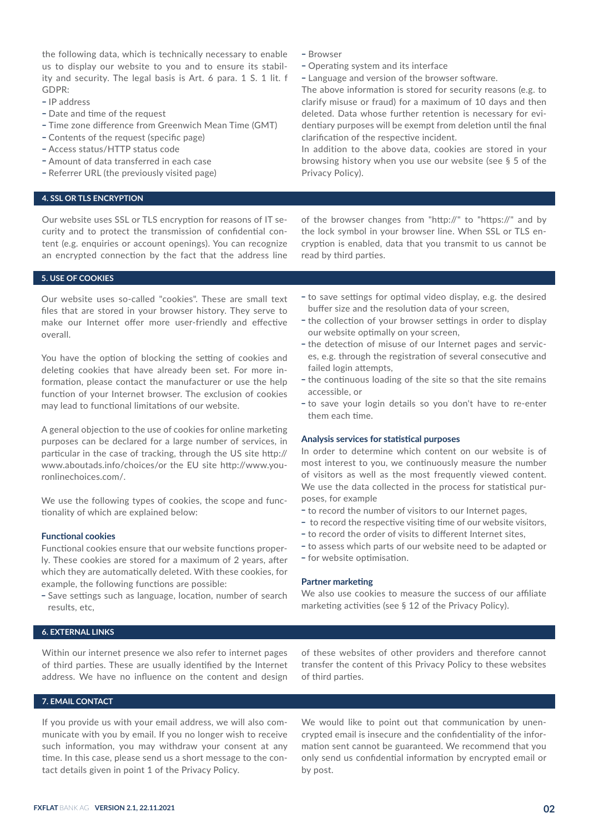the following data, which is technically necessary to enable us to display our website to you and to ensure its stability and security. The legal basis is Art. 6 para. 1 S. 1 lit. f GDPR:

- IP address
- Date and time of the request
- Time zone difference from Greenwich Mean Time (GMT)
- Contents of the request (specific page)
- \_ Access status/HTTP status code
- \_ Amount of data transferred in each case
- Referrer URL (the previously visited page)

#### **4. SSL OR TLS ENCRYPTION**

Our website uses SSL or TLS encryption for reasons of IT security and to protect the transmission of confidential content (e.g. enquiries or account openings). You can recognize an encrypted connection by the fact that the address line of the browser changes from "http://" to "https://" and by the lock symbol in your browser line. When SSL or TLS encryption is enabled, data that you transmit to us cannot be read by third parties.

# **5. USE OF COOKIES**

Our website uses so-called "cookies". These are small text files that are stored in your browser history. They serve to make our Internet offer more user-friendly and effective overall.

You have the option of blocking the setting of cookies and deleting cookies that have already been set. For more information, please contact the manufacturer or use the help function of your Internet browser. The exclusion of cookies may lead to functional limitations of our website.

A general objection to the use of cookies for online marketing purposes can be declared for a large number of services, in particular in the case of tracking, through the US site http:// www.aboutads.info/choices/or the EU site http://www.youronlinechoices.com/.

We use the following types of cookies, the scope and functionality of which are explained below:

# **Functional cookies**

Functional cookies ensure that our website functions properly. These cookies are stored for a maximum of 2 years, after which they are automatically deleted. With these cookies, for example, the following functions are possible:

- Save settings such as language, location, number of search results, etc,

# - to save settings for optimal video display, e.g. the desired buffer size and the resolution data of your screen,

- the collection of your browser settings in order to display our website optimally on your screen,
- the detection of misuse of our Internet pages and services, e.g. through the registration of several consecutive and failed login attempts,
- the continuous loading of the site so that the site remains accessible, or
- to save your login details so you don't have to re-enter them each time.

#### **Analysis services for statistical purposes**

In order to determine which content on our website is of most interest to you, we continuously measure the number of visitors as well as the most frequently viewed content. We use the data collected in the process for statistical purposes, for example

- to record the number of visitors to our Internet pages,
- to record the respective visiting time of our website visitors,
- to record the order of visits to different Internet sites,
- to assess which parts of our website need to be adapted or - for website optimisation.

#### **Partner marketing**

- Browser

Privacy Policy).

- Operating system and its interface

clarification of the respective incident.

- Language and version of the browser software.

The above information is stored for security reasons (e.g. to clarify misuse or fraud) for a maximum of 10 days and then deleted. Data whose further retention is necessary for evidentiary purposes will be exempt from deletion until the final

In addition to the above data, cookies are stored in your browsing history when you use our website (see § 5 of the

We also use cookies to measure the success of our affiliate marketing activities (see § 12 of the Privacy Policy).

# **6. EXTERNAL LINKS**

Within our internet presence we also refer to internet pages of third parties. These are usually identified by the Internet address. We have no influence on the content and design of these websites of other providers and therefore cannot transfer the content of this Privacy Policy to these websites of third parties.

#### **7. EMAIL CONTACT**

If you provide us with your email address, we will also communicate with you by email. If you no longer wish to receive such information, you may withdraw your consent at any time. In this case, please send us a short message to the contact details given in point 1 of the Privacy Policy.

We would like to point out that communication by unencrypted email is insecure and the confidentiality of the information sent cannot be guaranteed. We recommend that you only send us confidential information by encrypted email or by post.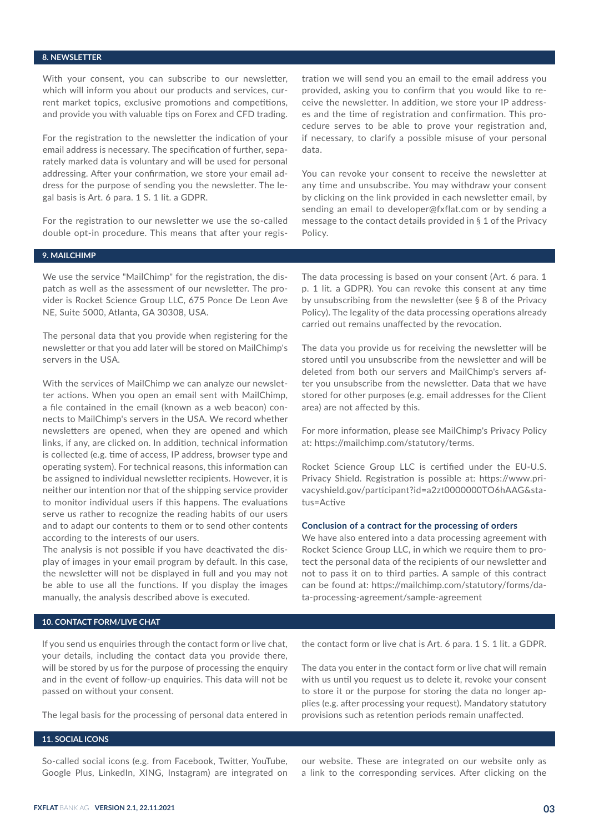#### **8. NEWSLETTER**

With your consent, you can subscribe to our newsletter, which will inform you about our products and services, current market topics, exclusive promotions and competitions, and provide you with valuable tips on Forex and CFD trading.

For the registration to the newsletter the indication of your email address is necessary. The specification of further, separately marked data is voluntary and will be used for personal addressing. After your confirmation, we store your email address for the purpose of sending you the newsletter. The legal basis is Art. 6 para. 1 S. 1 lit. a GDPR.

For the registration to our newsletter we use the so-called double opt-in procedure. This means that after your registration we will send you an email to the email address you provided, asking you to confirm that you would like to receive the newsletter. In addition, we store your IP addresses and the time of registration and confirmation. This procedure serves to be able to prove your registration and, if necessary, to clarify a possible misuse of your personal data.

You can revoke your consent to receive the newsletter at any time and unsubscribe. You may withdraw your consent by clicking on the link provided in each newsletter email, by sending an email to developer@fxflat.com or by sending a message to the contact details provided in § 1 of the Privacy Policy.

# **9. MAILCHIMP**

We use the service "MailChimp" for the registration, the dispatch as well as the assessment of our newsletter. The provider is Rocket Science Group LLC, 675 Ponce De Leon Ave NE, Suite 5000, Atlanta, GA 30308, USA.

The personal data that you provide when registering for the newsletter or that you add later will be stored on MailChimp's servers in the USA.

With the services of MailChimp we can analyze our newsletter actions. When you open an email sent with MailChimp, a file contained in the email (known as a web beacon) connects to MailChimp's servers in the USA. We record whether newsletters are opened, when they are opened and which links, if any, are clicked on. In addition, technical information is collected (e.g. time of access, IP address, browser type and operating system). For technical reasons, this information can be assigned to individual newsletter recipients. However, it is neither our intention nor that of the shipping service provider to monitor individual users if this happens. The evaluations serve us rather to recognize the reading habits of our users and to adapt our contents to them or to send other contents according to the interests of our users.

The analysis is not possible if you have deactivated the display of images in your email program by default. In this case, the newsletter will not be displayed in full and you may not be able to use all the functions. If you display the images manually, the analysis described above is executed.

The data processing is based on your consent (Art. 6 para. 1 p. 1 lit. a GDPR). You can revoke this consent at any time by unsubscribing from the newsletter (see § 8 of the Privacy Policy). The legality of the data processing operations already carried out remains unaffected by the revocation.

The data you provide us for receiving the newsletter will be stored until you unsubscribe from the newsletter and will be deleted from both our servers and MailChimp's servers after you unsubscribe from the newsletter. Data that we have stored for other purposes (e.g. email addresses for the Client area) are not affected by this.

For more information, please see MailChimp's Privacy Policy at: https://mailchimp.com/statutory/terms.

Rocket Science Group LLC is certified under the EU-U.S. Privacy Shield. Registration is possible at: https://www.privacyshield.gov/participant?id=a2zt0000000TO6hAAG&status=Active

#### **Conclusion of a contract for the processing of orders**

We have also entered into a data processing agreement with Rocket Science Group LLC, in which we require them to protect the personal data of the recipients of our newsletter and not to pass it on to third parties. A sample of this contract can be found at: https://mailchimp.com/statutory/forms/data-processing-agreement/sample-agreement

# **10. CONTACT FORM/LIVE CHAT**

If you send us enquiries through the contact form or live chat, your details, including the contact data you provide there, will be stored by us for the purpose of processing the enquiry and in the event of follow-up enquiries. This data will not be passed on without your consent.

The legal basis for the processing of personal data entered in

# **11. SOCIAL ICONS**

So-called social icons (e.g. from Facebook, Twitter, YouTube, Google Plus, LinkedIn, XING, Instagram) are integrated on

the contact form or live chat is Art. 6 para. 1 S. 1 lit. a GDPR.

The data you enter in the contact form or live chat will remain with us until you request us to delete it, revoke your consent to store it or the purpose for storing the data no longer applies (e.g. after processing your request). Mandatory statutory provisions such as retention periods remain unaffected.

our website. These are integrated on our website only as a link to the corresponding services. After clicking on the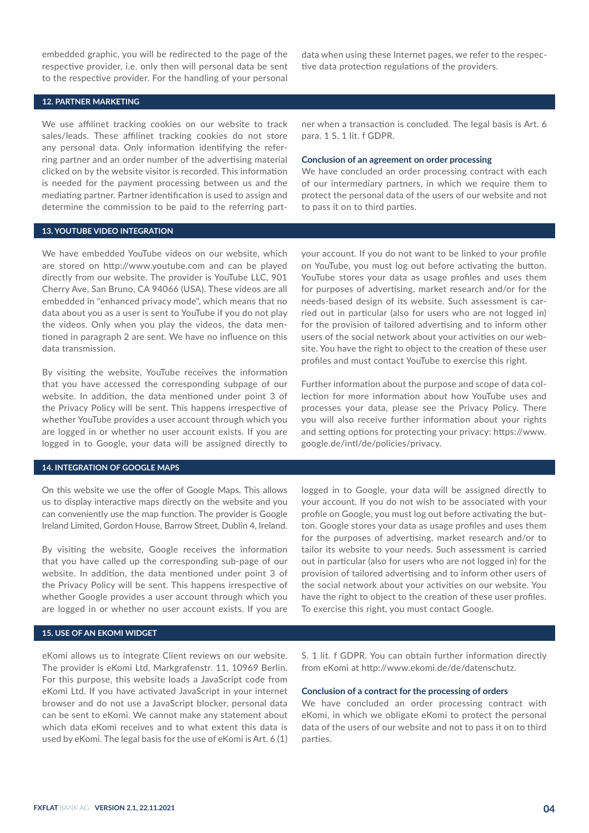embedded graphic, you will be redirected to the page of the respective provider, i.e. only then will personal data be sent to the respective provider. For the handling of your personal

# **12. PARTNER MARKETING**

We use affilinet tracking cookies on our website to track sales/leads. These affilinet tracking cookies do not store any personal data. Only information identifying the referring partner and an order number of the advertising material clicked on by the website visitor is recorded. This information is needed for the payment processing between us and the mediating partner. Partner identification is used to assign and determine the commission to be paid to the referring part-

#### **13. YOUTUBE VIDEO INTEGRATION**

data when using these Internet pages, we refer to the respective data protection regulations of the providers.

ner when a transaction is concluded. The legal basis is Art. 6 para. 1 S. 1 lit. f GDPR.

#### **Conclusion of an agreement on order processing**

We have concluded an order processing contract with each of our intermediary partners, in which we require them to protect the personal data of the users of our website and not to pass it on to third parties.

We have embedded YouTube videos on our website, which are stored on http://www.youtube.com and can be played directly from our website. The provider is YouTube LLC, 901 Cherry Ave, San Bruno, CA 94066 (USA). These videos are all embedded in "enhanced privacy mode", which means that no data about you as a user is sent to YouTube if you do not play the videos. Only when you play the videos, the data mentioned in paragraph 2 are sent. We have no influence on this data transmission.

By visiting the website, YouTube receives the information that you have accessed the corresponding subpage of our website. In addition, the data mentioned under point 3 of the Privacy Policy will be sent. This happens irrespective of whether YouTube provides a user account through which you are logged in or whether no user account exists. If you are logged in to Google, your data will be assigned directly to

# **14. INTEGRATION OF GOOGLE MAPS**

On this website we use the offer of Google Maps. This allows us to display interactive maps directly on the website and you can conveniently use the map function. The provider is Google Ireland Limited, Gordon House, Barrow Street, Dublin 4, Ireland.

By visiting the website, Google receives the information that you have called up the corresponding sub-page of our website. In addition, the data mentioned under point 3 of the Privacy Policy will be sent. This happens irrespective of whether Google provides a user account through which you are logged in or whether no user account exists. If you are

# **15. USE OF AN EKOMI WIDGET**

eKomi allows us to integrate Client reviews on our website. The provider is eKomi Ltd, Markgrafenstr. 11, 10969 Berlin. For this purpose, this website loads a JavaScript code from eKomi Ltd. If you have activated JavaScript in your internet browser and do not use a JavaScript blocker, personal data can be sent to eKomi. We cannot make any statement about which data eKomi receives and to what extent this data is used by eKomi. The legal basis for the use of eKomi is Art. 6 (1) your account. If you do not want to be linked to your profile on YouTube, you must log out before activating the button. YouTube stores your data as usage profiles and uses them for purposes of advertising, market research and/or for the needs-based design of its website. Such assessment is carried out in particular (also for users who are not logged in) for the provision of tailored advertising and to inform other users of the social network about your activities on our website. You have the right to object to the creation of these user profiles and must contact YouTube to exercise this right.

Further information about the purpose and scope of data collection for more information about how YouTube uses and processes your data, please see the Privacy Policy. There you will also receive further information about your rights and setting options for protecting your privacy: https://www. google.de/intl/de/policies/privacy.

logged in to Google, your data will be assigned directly to your account. If you do not wish to be associated with your profile on Google, you must log out before activating the button. Google stores your data as usage profiles and uses them for the purposes of advertising, market research and/or to tailor its website to your needs. Such assessment is carried out in particular (also for users who are not logged in) for the provision of tailored advertising and to inform other users of the social network about your activities on our website. You have the right to object to the creation of these user profiles. To exercise this right, you must contact Google.

S. 1 lit. f GDPR. You can obtain further information directly from eKomi at http://www.ekomi.de/de/datenschutz.

# **Conclusion of a contract for the processing of orders**

We have concluded an order processing contract with eKomi, in which we obligate eKomi to protect the personal data of the users of our website and not to pass it on to third parties.